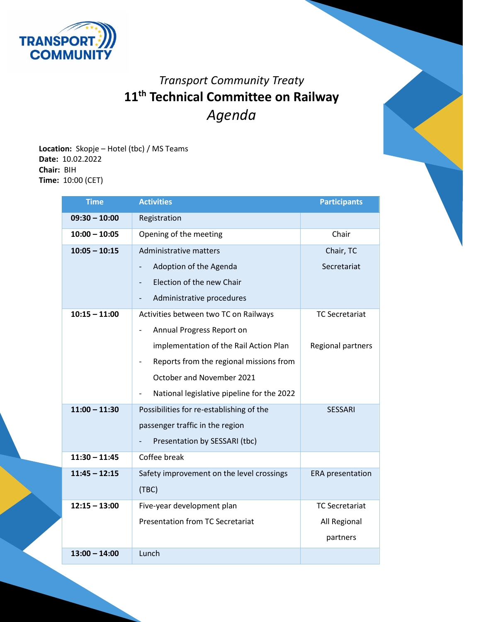

## *Transport Community Treaty* **11 th Technical Committee on Railway** *Agenda*

**Location:** Skopje – Hotel (tbc) / MS Teams **Date:** 10.02.2022 **Chair:** BIH **Time:** 10:00 (CET)

| <b>Time</b>     | <b>Activities</b>                                                   | <b>Participants</b>     |
|-----------------|---------------------------------------------------------------------|-------------------------|
| $09:30 - 10:00$ | Registration                                                        |                         |
| $10:00 - 10:05$ | Opening of the meeting                                              | Chair                   |
| $10:05 - 10:15$ | Administrative matters                                              | Chair, TC               |
|                 | Adoption of the Agenda<br>$\overline{\phantom{0}}$                  | Secretariat             |
|                 | Election of the new Chair                                           |                         |
|                 | Administrative procedures                                           |                         |
| $10:15 - 11:00$ | Activities between two TC on Railways                               | <b>TC Secretariat</b>   |
|                 | Annual Progress Report on                                           |                         |
|                 | implementation of the Rail Action Plan                              | Regional partners       |
|                 | Reports from the regional missions from<br>$\overline{\phantom{0}}$ |                         |
|                 | October and November 2021                                           |                         |
|                 | National legislative pipeline for the 2022                          |                         |
| $11:00 - 11:30$ | Possibilities for re-establishing of the                            | <b>SESSARI</b>          |
|                 | passenger traffic in the region                                     |                         |
|                 | Presentation by SESSARI (tbc)                                       |                         |
| $11:30 - 11:45$ | Coffee break                                                        |                         |
| $11:45 - 12:15$ | Safety improvement on the level crossings                           | <b>ERA</b> presentation |
|                 | (TBC)                                                               |                         |
| $12:15 - 13:00$ | Five-year development plan                                          | <b>TC Secretariat</b>   |
|                 | <b>Presentation from TC Secretariat</b>                             | All Regional            |
|                 |                                                                     | partners                |
| $13:00 - 14:00$ | Lunch                                                               |                         |